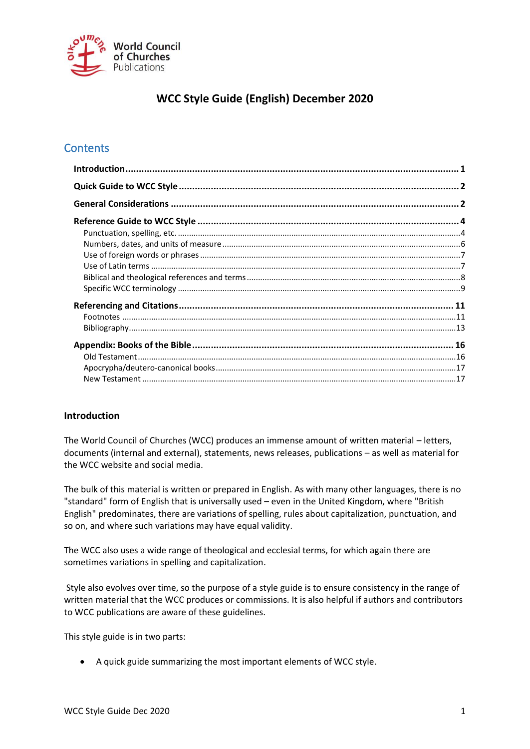

# **WCC Style Guide (English) December 2020**

# **Contents**

# <span id="page-0-0"></span>**Introduction**

The World Council of Churches (WCC) produces an immense amount of written material – letters, documents (internal and external), statements, news releases, publications – as well as material for the WCC website and social media.

The bulk of this material is written or prepared in English. As with many other languages, there is no "standard" form of English that is universally used – even in the United Kingdom, where "British English" predominates, there are variations of spelling, rules about capitalization, punctuation, and so on, and where such variations may have equal validity.

The WCC also uses a wide range of theological and ecclesial terms, for which again there are sometimes variations in spelling and capitalization.

Style also evolves over time, so the purpose of a style guide is to ensure consistency in the range of written material that the WCC produces or commissions. It is also helpful if authors and contributors to WCC publications are aware of these guidelines.

This style guide is in two parts:

• A quick guide summarizing the most important elements of WCC style.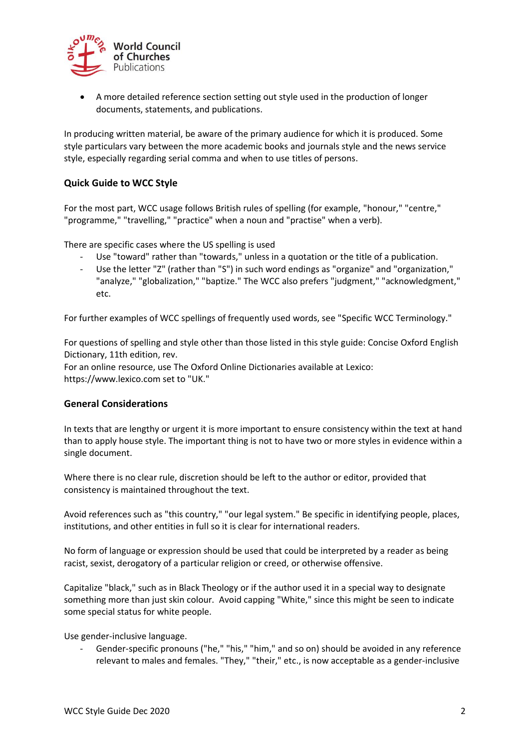

• A more detailed reference section setting out style used in the production of longer documents, statements, and publications.

In producing written material, be aware of the primary audience for which it is produced. Some style particulars vary between the more academic books and journals style and the news service style, especially regarding serial comma and when to use titles of persons.

### <span id="page-1-0"></span>**Quick Guide to WCC Style**

For the most part, WCC usage follows British rules of spelling (for example, "honour," "centre," "programme," "travelling," "practice" when a noun and "practise" when a verb).

There are specific cases where the US spelling is used

- Use "toward" rather than "towards," unless in a quotation or the title of a publication.
- Use the letter "Z" (rather than "S") in such word endings as "organize" and "organization," "analyze," "globalization," "baptize." The WCC also prefers "judgment," "acknowledgment," etc.

For further examples of WCC spellings of frequently used words, see "Specific WCC Terminology."

For questions of spelling and style other than those listed in this style guide: Concise Oxford English Dictionary, 11th edition, rev.

For an online resource, use The Oxford Online Dictionaries available at Lexico: https://www.lexico.com set to "UK."

#### <span id="page-1-1"></span>**General Considerations**

In texts that are lengthy or urgent it is more important to ensure consistency within the text at hand than to apply house style. The important thing is not to have two or more styles in evidence within a single document.

Where there is no clear rule, discretion should be left to the author or editor, provided that consistency is maintained throughout the text.

Avoid references such as "this country," "our legal system." Be specific in identifying people, places, institutions, and other entities in full so it is clear for international readers.

No form of language or expression should be used that could be interpreted by a reader as being racist, sexist, derogatory of a particular religion or creed, or otherwise offensive.

Capitalize "black," such as in Black Theology or if the author used it in a special way to designate something more than just skin colour. Avoid capping "White," since this might be seen to indicate some special status for white people.

Use gender-inclusive language.

Gender-specific pronouns ("he," "his," "him," and so on) should be avoided in any reference relevant to males and females. "They," "their," etc., is now acceptable as a gender-inclusive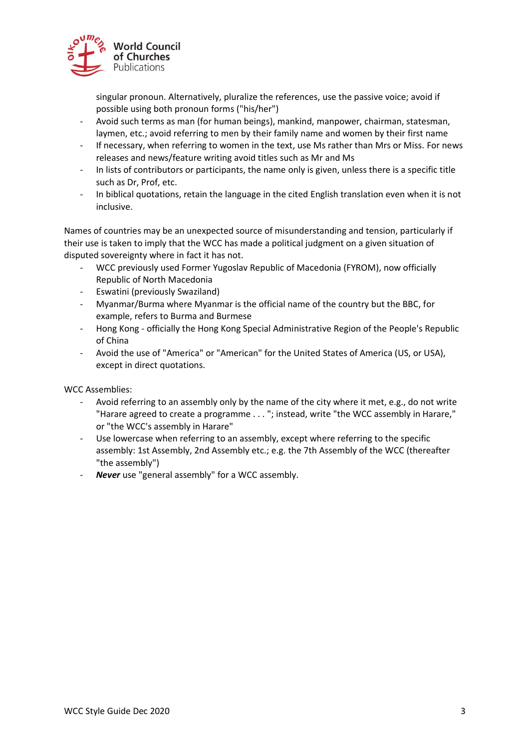

singular pronoun. Alternatively, pluralize the references, use the passive voice; avoid if possible using both pronoun forms ("his/her")

- Avoid such terms as man (for human beings), mankind, manpower, chairman, statesman, laymen, etc.; avoid referring to men by their family name and women by their first name
- If necessary, when referring to women in the text, use Ms rather than Mrs or Miss. For news releases and news/feature writing avoid titles such as Mr and Ms
- In lists of contributors or participants, the name only is given, unless there is a specific title such as Dr, Prof, etc.
- In biblical quotations, retain the language in the cited English translation even when it is not inclusive.

Names of countries may be an unexpected source of misunderstanding and tension, particularly if their use is taken to imply that the WCC has made a political judgment on a given situation of disputed sovereignty where in fact it has not.

- WCC previously used Former Yugoslav Republic of Macedonia (FYROM), now officially Republic of North Macedonia
- Eswatini (previously Swaziland)
- Myanmar/Burma where Myanmar is the official name of the country but the BBC, for example, refers to Burma and Burmese
- Hong Kong officially the Hong Kong Special Administrative Region of the People's Republic of China
- Avoid the use of "America" or "American" for the United States of America (US, or USA), except in direct quotations.

WCC Assemblies:

- Avoid referring to an assembly only by the name of the city where it met, e.g., do not write "Harare agreed to create a programme . . . "; instead, write "the WCC assembly in Harare," or "the WCC's assembly in Harare"
- Use lowercase when referring to an assembly, except where referring to the specific assembly: 1st Assembly, 2nd Assembly etc.; e.g. the 7th Assembly of the WCC (thereafter "the assembly")
- *Never* use "general assembly" for a WCC assembly.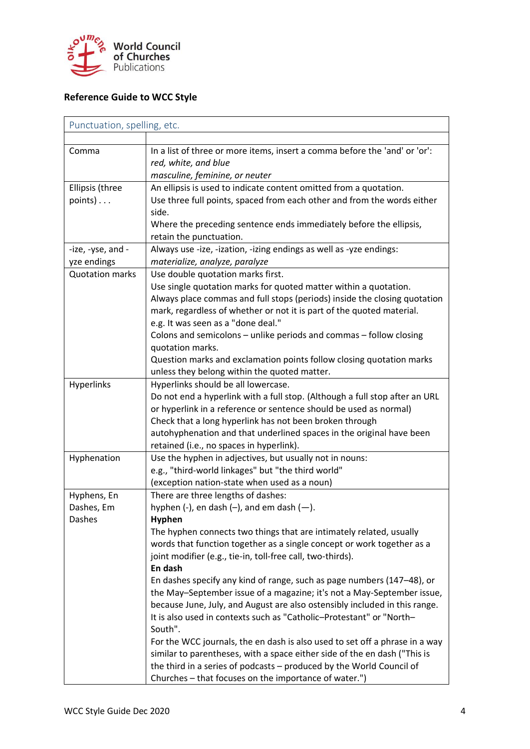

# <span id="page-3-0"></span>**Reference Guide to WCC Style**

<span id="page-3-1"></span>

|                        | Punctuation, spelling, etc.                                                 |  |  |
|------------------------|-----------------------------------------------------------------------------|--|--|
|                        |                                                                             |  |  |
| Comma                  | In a list of three or more items, insert a comma before the 'and' or 'or':  |  |  |
|                        | red, white, and blue                                                        |  |  |
|                        | masculine, feminine, or neuter                                              |  |  |
| Ellipsis (three        | An ellipsis is used to indicate content omitted from a quotation.           |  |  |
| $points) \ldots$       | Use three full points, spaced from each other and from the words either     |  |  |
|                        | side.                                                                       |  |  |
|                        | Where the preceding sentence ends immediately before the ellipsis,          |  |  |
|                        | retain the punctuation.                                                     |  |  |
| -ize, -yse, and -      | Always use -ize, -ization, -izing endings as well as -yze endings:          |  |  |
| yze endings            | materialize, analyze, paralyze                                              |  |  |
| <b>Quotation marks</b> | Use double quotation marks first.                                           |  |  |
|                        | Use single quotation marks for quoted matter within a quotation.            |  |  |
|                        | Always place commas and full stops (periods) inside the closing quotation   |  |  |
|                        | mark, regardless of whether or not it is part of the quoted material.       |  |  |
|                        | e.g. It was seen as a "done deal."                                          |  |  |
|                        | Colons and semicolons - unlike periods and commas - follow closing          |  |  |
|                        | quotation marks.                                                            |  |  |
|                        | Question marks and exclamation points follow closing quotation marks        |  |  |
|                        | unless they belong within the quoted matter.                                |  |  |
| Hyperlinks             | Hyperlinks should be all lowercase.                                         |  |  |
|                        | Do not end a hyperlink with a full stop. (Although a full stop after an URL |  |  |
|                        | or hyperlink in a reference or sentence should be used as normal)           |  |  |
|                        | Check that a long hyperlink has not been broken through                     |  |  |
|                        | autohyphenation and that underlined spaces in the original have been        |  |  |
|                        | retained (i.e., no spaces in hyperlink).                                    |  |  |
| Hyphenation            | Use the hyphen in adjectives, but usually not in nouns:                     |  |  |
|                        | e.g., "third-world linkages" but "the third world"                          |  |  |
|                        | (exception nation-state when used as a noun)                                |  |  |
| Hyphens, En            | There are three lengths of dashes:                                          |  |  |
| Dashes, Em             | hyphen $(-)$ , en dash $(-)$ , and em dash $(-)$ .                          |  |  |
| Dashes                 | <b>Hyphen</b>                                                               |  |  |
|                        | The hyphen connects two things that are intimately related, usually         |  |  |
|                        | words that function together as a single concept or work together as a      |  |  |
|                        | joint modifier (e.g., tie-in, toll-free call, two-thirds).                  |  |  |
|                        | En dash                                                                     |  |  |
|                        | En dashes specify any kind of range, such as page numbers (147-48), or      |  |  |
|                        | the May-September issue of a magazine; it's not a May-September issue,      |  |  |
|                        | because June, July, and August are also ostensibly included in this range.  |  |  |
|                        | It is also used in contexts such as "Catholic-Protestant" or "North-        |  |  |
|                        | South".                                                                     |  |  |
|                        | For the WCC journals, the en dash is also used to set off a phrase in a way |  |  |
|                        | similar to parentheses, with a space either side of the en dash ("This is   |  |  |
|                        | the third in a series of podcasts - produced by the World Council of        |  |  |
|                        |                                                                             |  |  |
|                        | Churches - that focuses on the importance of water.")                       |  |  |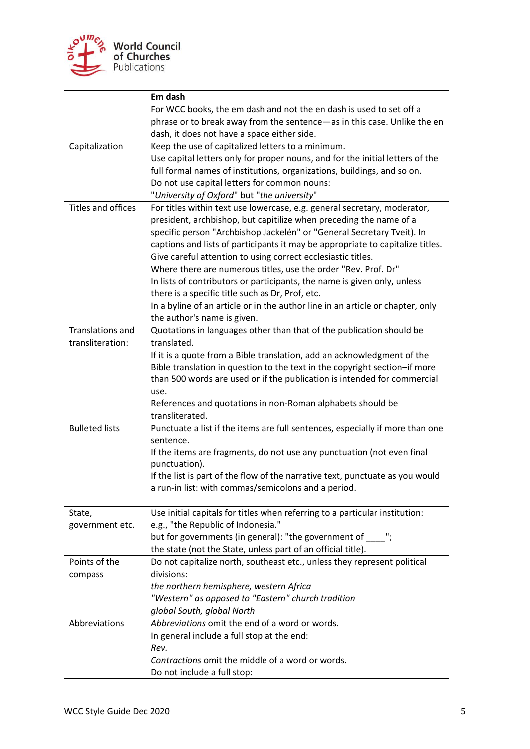

|                       | Em dash                                                                        |
|-----------------------|--------------------------------------------------------------------------------|
|                       | For WCC books, the em dash and not the en dash is used to set off a            |
|                       | phrase or to break away from the sentence-as in this case. Unlike the en       |
|                       | dash, it does not have a space either side.                                    |
| Capitalization        | Keep the use of capitalized letters to a minimum.                              |
|                       | Use capital letters only for proper nouns, and for the initial letters of the  |
|                       | full formal names of institutions, organizations, buildings, and so on.        |
|                       | Do not use capital letters for common nouns:                                   |
|                       | "University of Oxford" but "the university"                                    |
| Titles and offices    | For titles within text use lowercase, e.g. general secretary, moderator,       |
|                       | president, archbishop, but capitilize when preceding the name of a             |
|                       | specific person "Archbishop Jackelén" or "General Secretary Tveit). In         |
|                       | captions and lists of participants it may be appropriate to capitalize titles. |
|                       | Give careful attention to using correct ecclesiastic titles.                   |
|                       | Where there are numerous titles, use the order "Rev. Prof. Dr"                 |
|                       | In lists of contributors or participants, the name is given only, unless       |
|                       | there is a specific title such as Dr, Prof, etc.                               |
|                       | In a byline of an article or in the author line in an article or chapter, only |
|                       | the author's name is given.                                                    |
| Translations and      | Quotations in languages other than that of the publication should be           |
| transliteration:      | translated.                                                                    |
|                       | If it is a quote from a Bible translation, add an acknowledgment of the        |
|                       | Bible translation in question to the text in the copyright section-if more     |
|                       | than 500 words are used or if the publication is intended for commercial       |
|                       | use.                                                                           |
|                       | References and quotations in non-Roman alphabets should be                     |
|                       | transliterated.                                                                |
| <b>Bulleted lists</b> | Punctuate a list if the items are full sentences, especially if more than one  |
|                       | sentence.                                                                      |
|                       | If the items are fragments, do not use any punctuation (not even final         |
|                       | punctuation).                                                                  |
|                       | If the list is part of the flow of the narrative text, punctuate as you would  |
|                       | a run-in list: with commas/semicolons and a period.                            |
|                       |                                                                                |
| State,                | Use initial capitals for titles when referring to a particular institution:    |
| government etc.       | e.g., "the Republic of Indonesia."                                             |
|                       | but for governments (in general): "the government of ____";                    |
|                       | the state (not the State, unless part of an official title).                   |
| Points of the         | Do not capitalize north, southeast etc., unless they represent political       |
| compass               | divisions:                                                                     |
|                       | the northern hemisphere, western Africa                                        |
|                       | "Western" as opposed to "Eastern" church tradition                             |
|                       | global South, global North                                                     |
| Abbreviations         | Abbreviations omit the end of a word or words.                                 |
|                       | In general include a full stop at the end:                                     |
|                       | Rev.                                                                           |
|                       | Contractions omit the middle of a word or words.                               |
|                       | Do not include a full stop:                                                    |
|                       |                                                                                |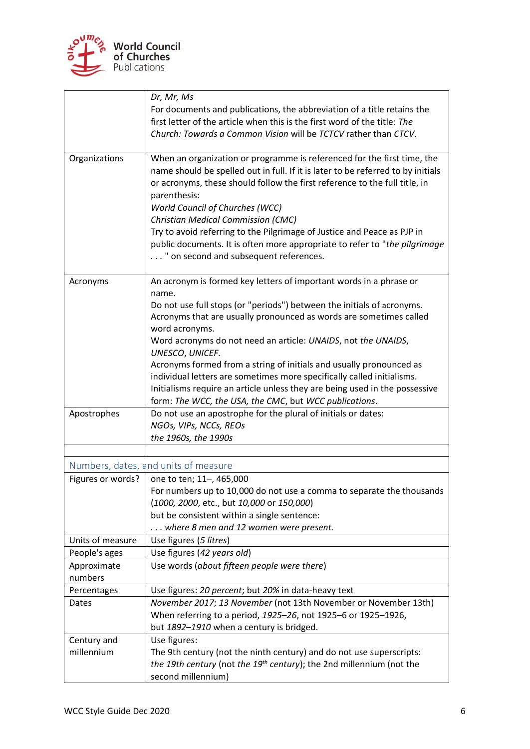

<span id="page-5-0"></span>

|                   | Dr, Mr, Ms                                                                               |
|-------------------|------------------------------------------------------------------------------------------|
|                   | For documents and publications, the abbreviation of a title retains the                  |
|                   | first letter of the article when this is the first word of the title: The                |
|                   | Church: Towards a Common Vision will be TCTCV rather than CTCV.                          |
| Organizations     | When an organization or programme is referenced for the first time, the                  |
|                   | name should be spelled out in full. If it is later to be referred to by initials         |
|                   | or acronyms, these should follow the first reference to the full title, in               |
|                   | parenthesis:                                                                             |
|                   | <b>World Council of Churches (WCC)</b>                                                   |
|                   | Christian Medical Commission (CMC)                                                       |
|                   | Try to avoid referring to the Pilgrimage of Justice and Peace as PJP in                  |
|                   | public documents. It is often more appropriate to refer to "the pilgrimage               |
|                   | " on second and subsequent references.                                                   |
| Acronyms          | An acronym is formed key letters of important words in a phrase or                       |
|                   | name.                                                                                    |
|                   | Do not use full stops (or "periods") between the initials of acronyms.                   |
|                   | Acronyms that are usually pronounced as words are sometimes called                       |
|                   | word acronyms.                                                                           |
|                   | Word acronyms do not need an article: UNAIDS, not the UNAIDS,                            |
|                   | UNESCO, UNICEF.<br>Acronyms formed from a string of initials and usually pronounced as   |
|                   | individual letters are sometimes more specifically called initialisms.                   |
|                   | Initialisms require an article unless they are being used in the possessive              |
|                   | form: The WCC, the USA, the CMC, but WCC publications.                                   |
| Apostrophes       | Do not use an apostrophe for the plural of initials or dates:                            |
|                   | NGOs, VIPs, NCCs, REOs                                                                   |
|                   | the 1960s, the 1990s                                                                     |
|                   |                                                                                          |
|                   | Numbers, dates, and units of measure                                                     |
| Figures or words? | one to ten; 11-, 465,000                                                                 |
|                   | For numbers up to 10,000 do not use a comma to separate the thousands                    |
|                   | (1000, 2000, etc., but 10,000 or 150,000)<br>but be consistent within a single sentence: |
|                   | where 8 men and 12 women were present.                                                   |
| Units of measure  | Use figures (5 litres)                                                                   |
| People's ages     | Use figures (42 years old)                                                               |
| Approximate       | Use words (about fifteen people were there)                                              |
| numbers           |                                                                                          |
| Percentages       | Use figures: 20 percent; but 20% in data-heavy text                                      |
| Dates             | November 2017; 13 November (not 13th November or November 13th)                          |
|                   | When referring to a period, 1925-26, not 1925-6 or 1925-1926,                            |
|                   | but 1892-1910 when a century is bridged.                                                 |
| Century and       | Use figures:                                                                             |
| millennium        | The 9th century (not the ninth century) and do not use superscripts:                     |
|                   | the 19th century (not the 19th century); the 2nd millennium (not the                     |
|                   | second millennium)                                                                       |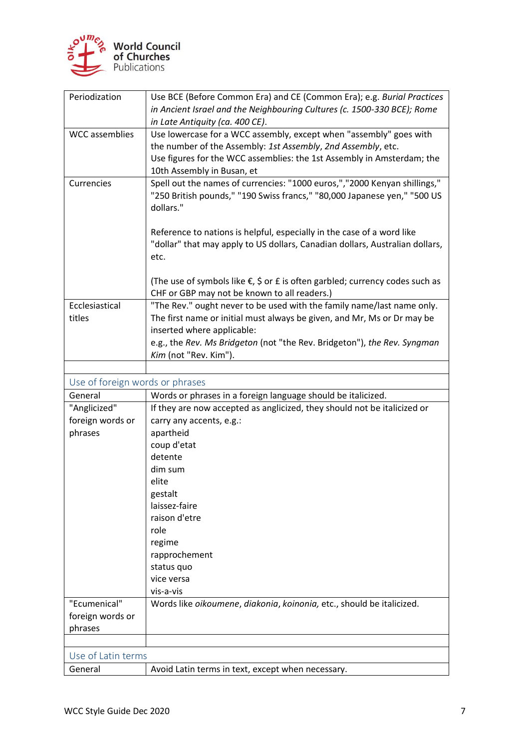

<span id="page-6-1"></span><span id="page-6-0"></span>

| Periodization                   | Use BCE (Before Common Era) and CE (Common Era); e.g. Burial Practices                                                                               |
|---------------------------------|------------------------------------------------------------------------------------------------------------------------------------------------------|
|                                 | in Ancient Israel and the Neighbouring Cultures (c. 1500-330 BCE); Rome<br>in Late Antiquity (ca. 400 CE).                                           |
| <b>WCC</b> assemblies           | Use lowercase for a WCC assembly, except when "assembly" goes with                                                                                   |
|                                 | the number of the Assembly: 1st Assembly, 2nd Assembly, etc.                                                                                         |
|                                 | Use figures for the WCC assemblies: the 1st Assembly in Amsterdam; the                                                                               |
|                                 | 10th Assembly in Busan, et                                                                                                                           |
| Currencies                      | Spell out the names of currencies: "1000 euros,","2000 Kenyan shillings,"                                                                            |
|                                 | "250 British pounds," "190 Swiss francs," "80,000 Japanese yen," "500 US                                                                             |
|                                 | dollars."                                                                                                                                            |
|                                 |                                                                                                                                                      |
|                                 | Reference to nations is helpful, especially in the case of a word like                                                                               |
|                                 | "dollar" that may apply to US dollars, Canadian dollars, Australian dollars,                                                                         |
|                                 | etc.                                                                                                                                                 |
|                                 |                                                                                                                                                      |
|                                 | (The use of symbols like $\epsilon$ , $\zeta$ or $\epsilon$ is often garbled; currency codes such as<br>CHF or GBP may not be known to all readers.) |
| Ecclesiastical                  | "The Rev." ought never to be used with the family name/last name only.                                                                               |
| titles                          | The first name or initial must always be given, and Mr, Ms or Dr may be                                                                              |
|                                 | inserted where applicable:                                                                                                                           |
|                                 | e.g., the Rev. Ms Bridgeton (not "the Rev. Bridgeton"), the Rev. Syngman                                                                             |
|                                 | Kim (not "Rev. Kim").                                                                                                                                |
|                                 |                                                                                                                                                      |
| Use of foreign words or phrases |                                                                                                                                                      |
| General                         | Words or phrases in a foreign language should be italicized.                                                                                         |
| "Anglicized"                    | If they are now accepted as anglicized, they should not be italicized or                                                                             |
| foreign words or                | carry any accents, e.g.:                                                                                                                             |
| phrases                         | apartheid                                                                                                                                            |
|                                 | coup d'etat                                                                                                                                          |
|                                 | detente                                                                                                                                              |
|                                 | dim sum                                                                                                                                              |
|                                 | elite                                                                                                                                                |
|                                 | gestalt                                                                                                                                              |
|                                 | laissez-faire                                                                                                                                        |
|                                 | raison d'etre                                                                                                                                        |
|                                 | role                                                                                                                                                 |
|                                 | regime                                                                                                                                               |
|                                 | rapprochement<br>status quo                                                                                                                          |
|                                 | vice versa                                                                                                                                           |
|                                 | vis-a-vis                                                                                                                                            |
| "Ecumenical"                    | Words like oikoumene, diakonia, koinonia, etc., should be italicized.                                                                                |
| foreign words or                |                                                                                                                                                      |
| phrases                         |                                                                                                                                                      |
|                                 |                                                                                                                                                      |
|                                 |                                                                                                                                                      |
|                                 |                                                                                                                                                      |
| Use of Latin terms<br>General   | Avoid Latin terms in text, except when necessary.                                                                                                    |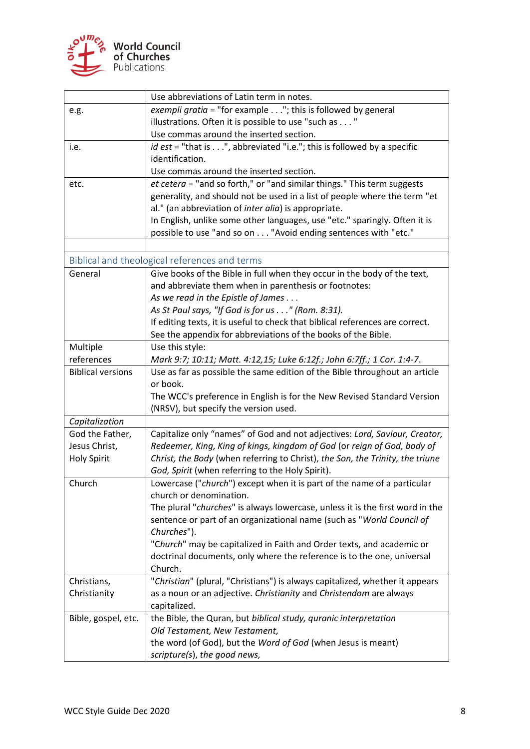

<span id="page-7-0"></span>

|                          | Use abbreviations of Latin term in notes.                                     |
|--------------------------|-------------------------------------------------------------------------------|
| e.g.                     | exempli gratia = "for example $\dots$ "; this is followed by general          |
|                          | illustrations. Often it is possible to use "such as "                         |
|                          | Use commas around the inserted section.                                       |
| i.e.                     | id est = "that is", abbreviated "i.e."; this is followed by a specific        |
|                          | identification.                                                               |
|                          | Use commas around the inserted section.                                       |
| etc.                     | et cetera = "and so forth," or "and similar things." This term suggests       |
|                          | generality, and should not be used in a list of people where the term "et     |
|                          | al." (an abbreviation of inter alia) is appropriate.                          |
|                          | In English, unlike some other languages, use "etc." sparingly. Often it is    |
|                          | possible to use "and so on "Avoid ending sentences with "etc."                |
|                          |                                                                               |
|                          | Biblical and theological references and terms                                 |
| General                  | Give books of the Bible in full when they occur in the body of the text,      |
|                          | and abbreviate them when in parenthesis or footnotes:                         |
|                          | As we read in the Epistle of James                                            |
|                          | As St Paul says, "If God is for us" (Rom. 8:31).                              |
|                          | If editing texts, it is useful to check that biblical references are correct. |
|                          | See the appendix for abbreviations of the books of the Bible.                 |
| Multiple                 | Use this style:                                                               |
| references               | Mark 9:7; 10:11; Matt. 4:12,15; Luke 6:12f.; John 6:7ff.; 1 Cor. 1:4-7.       |
| <b>Biblical versions</b> | Use as far as possible the same edition of the Bible throughout an article    |
|                          | or book.                                                                      |
|                          | The WCC's preference in English is for the New Revised Standard Version       |
|                          | (NRSV), but specify the version used.                                         |
| Capitalization           |                                                                               |
| God the Father,          | Capitalize only "names" of God and not adjectives: Lord, Saviour, Creator,    |
| Jesus Christ,            | Redeemer, King, King of kings, kingdom of God (or reign of God, body of       |
| <b>Holy Spirit</b>       | Christ, the Body (when referring to Christ), the Son, the Trinity, the triune |
|                          | God, Spirit (when referring to the Holy Spirit).                              |
| Church                   | Lowercase ("church") except when it is part of the name of a particular       |
|                          | church or denomination.                                                       |
|                          | The plural "churches" is always lowercase, unless it is the first word in the |
|                          | sentence or part of an organizational name (such as "World Council of         |
|                          | Churches").                                                                   |
|                          | "Church" may be capitalized in Faith and Order texts, and academic or         |
|                          | doctrinal documents, only where the reference is to the one, universal        |
|                          | Church.                                                                       |
| Christians,              | "Christian" (plural, "Christians") is always capitalized, whether it appears  |
| Christianity             | as a noun or an adjective. Christianity and Christendom are always            |
|                          | capitalized.                                                                  |
| Bible, gospel, etc.      | the Bible, the Quran, but biblical study, quranic interpretation              |
|                          | Old Testament, New Testament,                                                 |
|                          | the word (of God), but the Word of God (when Jesus is meant)                  |
|                          | scripture(s), the good news,                                                  |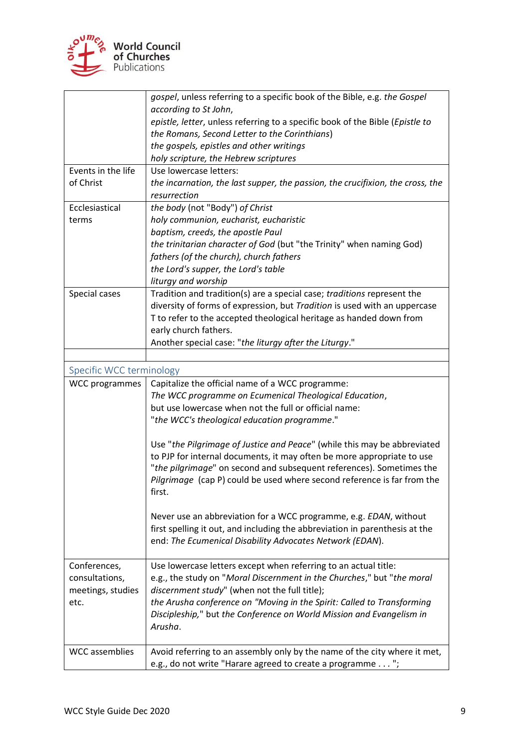

<span id="page-8-0"></span>

|                          | gospel, unless referring to a specific book of the Bible, e.g. the Gospel      |
|--------------------------|--------------------------------------------------------------------------------|
|                          | according to St John,                                                          |
|                          | epistle, letter, unless referring to a specific book of the Bible (Epistle to  |
|                          | the Romans, Second Letter to the Corinthians)                                  |
|                          | the gospels, epistles and other writings                                       |
|                          | holy scripture, the Hebrew scriptures                                          |
| Events in the life       | Use lowercase letters:                                                         |
| of Christ                | the incarnation, the last supper, the passion, the crucifixion, the cross, the |
|                          | resurrection                                                                   |
| Ecclesiastical           | the body (not "Body") of Christ                                                |
| terms                    | holy communion, eucharist, eucharistic                                         |
|                          | baptism, creeds, the apostle Paul                                              |
|                          | the trinitarian character of God (but "the Trinity" when naming God)           |
|                          | fathers (of the church), church fathers                                        |
|                          | the Lord's supper, the Lord's table                                            |
|                          | liturgy and worship                                                            |
| Special cases            | Tradition and tradition(s) are a special case; traditions represent the        |
|                          | diversity of forms of expression, but Tradition is used with an uppercase      |
|                          | T to refer to the accepted theological heritage as handed down from            |
|                          | early church fathers.                                                          |
|                          | Another special case: "the liturgy after the Liturgy."                         |
|                          |                                                                                |
| Specific WCC terminology |                                                                                |
| <b>WCC</b> programmes    | Capitalize the official name of a WCC programme:                               |
|                          | The WCC programme on Ecumenical Theological Education,                         |
|                          | but use lowercase when not the full or official name:                          |
|                          | "the WCC's theological education programme."                                   |
|                          |                                                                                |
|                          | Use "the Pilgrimage of Justice and Peace" (while this may be abbreviated       |
|                          | to PJP for internal documents, it may often be more appropriate to use         |
|                          | "the pilgrimage" on second and subsequent references). Sometimes the           |
|                          | Pilgrimage (cap P) could be used where second reference is far from the        |
|                          | first.                                                                         |
|                          |                                                                                |
|                          | Never use an abbreviation for a WCC programme, e.g. EDAN, without              |
|                          | first spelling it out, and including the abbreviation in parenthesis at the    |
|                          | end: The Ecumenical Disability Advocates Network (EDAN).                       |
|                          |                                                                                |
| Conferences,             | Use lowercase letters except when referring to an actual title:                |
| consultations,           | e.g., the study on "Moral Discernment in the Churches," but "the moral         |
| meetings, studies        | discernment study" (when not the full title);                                  |
| etc.                     | the Arusha conference on "Moving in the Spirit: Called to Transforming         |
|                          | Discipleship," but the Conference on World Mission and Evangelism in           |
|                          | Arusha.                                                                        |
|                          |                                                                                |
| <b>WCC</b> assemblies    | Avoid referring to an assembly only by the name of the city where it met,      |
|                          | e.g., do not write "Harare agreed to create a programme ";                     |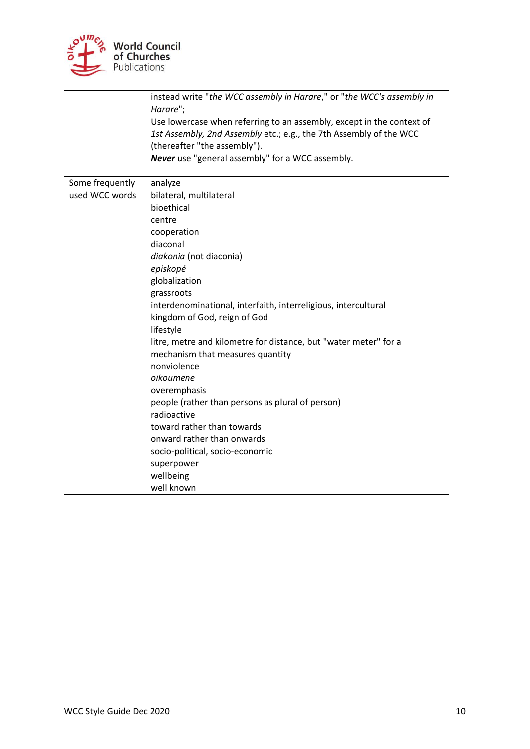

|                                   | instead write "the WCC assembly in Harare," or "the WCC's assembly in<br>Harare";<br>Use lowercase when referring to an assembly, except in the context of<br>1st Assembly, 2nd Assembly etc.; e.g., the 7th Assembly of the WCC<br>(thereafter "the assembly").<br>Never use "general assembly" for a WCC assembly.                                                                                                                                                                                                                                                                                                                      |
|-----------------------------------|-------------------------------------------------------------------------------------------------------------------------------------------------------------------------------------------------------------------------------------------------------------------------------------------------------------------------------------------------------------------------------------------------------------------------------------------------------------------------------------------------------------------------------------------------------------------------------------------------------------------------------------------|
| Some frequently<br>used WCC words | analyze<br>bilateral, multilateral<br>bioethical<br>centre<br>cooperation<br>diaconal<br>diakonia (not diaconia)<br>episkopé<br>globalization<br>grassroots<br>interdenominational, interfaith, interreligious, intercultural<br>kingdom of God, reign of God<br>lifestyle<br>litre, metre and kilometre for distance, but "water meter" for a<br>mechanism that measures quantity<br>nonviolence<br>oikoumene<br>overemphasis<br>people (rather than persons as plural of person)<br>radioactive<br>toward rather than towards<br>onward rather than onwards<br>socio-political, socio-economic<br>superpower<br>wellbeing<br>well known |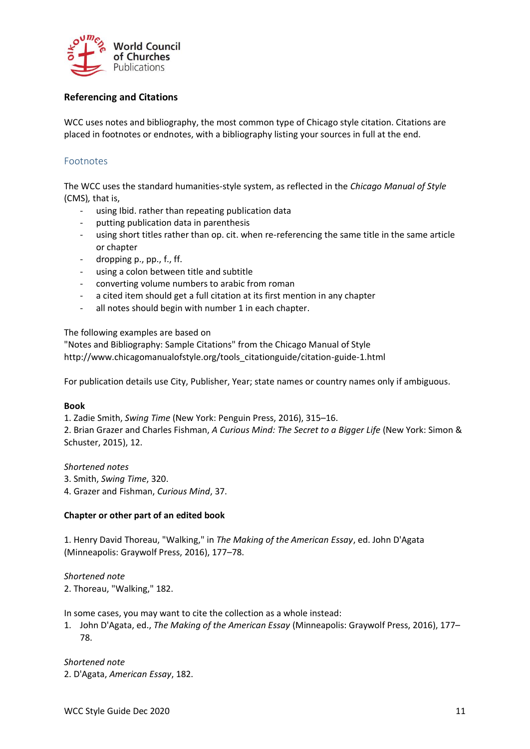

# <span id="page-10-0"></span>**Referencing and Citations**

WCC uses notes and bibliography, the most common type of Chicago style citation. Citations are placed in footnotes or endnotes, with a bibliography listing your sources in full at the end.

#### <span id="page-10-1"></span>Footnotes

The WCC uses the standard humanities-style system, as reflected in the *Chicago Manual of Style* (CMS)*,* that is,

- using Ibid. rather than repeating publication data
- putting publication data in parenthesis
- using short titles rather than op. cit. when re-referencing the same title in the same article or chapter
- dropping p., pp., f., ff.
- using a colon between title and subtitle
- converting volume numbers to arabic from roman
- a cited item should get a full citation at its first mention in any chapter
- all notes should begin with number 1 in each chapter.

The following examples are based on

"Notes and Bibliography: Sample Citations" from the Chicago Manual of Style http://www.chicagomanualofstyle.org/tools\_citationguide/citation-guide-1.html

For publication details use City, Publisher, Year; state names or country names only if ambiguous.

#### **Book**

1. Zadie Smith, *Swing Time* (New York: Penguin Press, 2016), 315–16. 2. Brian Grazer and Charles Fishman, *A Curious Mind: The Secret to a Bigger Life* (New York: Simon & Schuster, 2015), 12.

#### *Shortened notes*

3. Smith, *Swing Time*, 320.

4. Grazer and Fishman, *Curious Mind*, 37.

#### **Chapter or other part of an edited book**

1. Henry David Thoreau, "Walking," in *The Making of the American Essay*, ed. John D'Agata (Minneapolis: Graywolf Press, 2016), 177–78.

*Shortened note* 2. Thoreau, "Walking," 182.

In some cases, you may want to cite the collection as a whole instead:

1. John D'Agata, ed., *The Making of the American Essay* (Minneapolis: Graywolf Press, 2016), 177– 78.

*Shortened note* 2. D'Agata, *American Essay*, 182.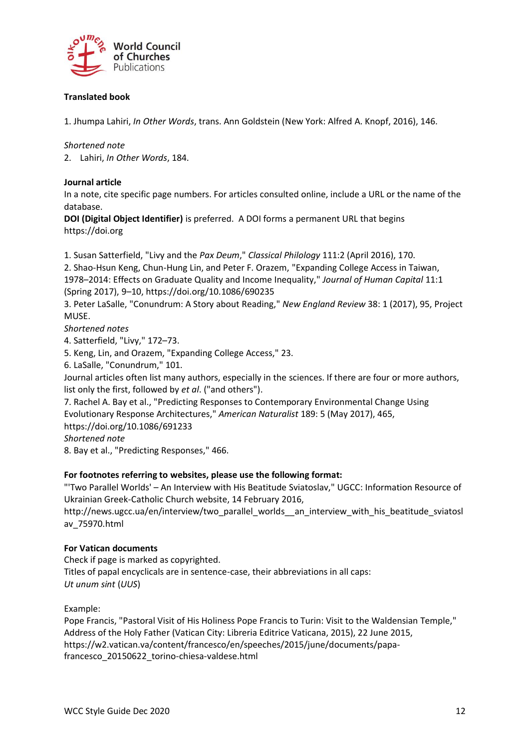

### **Translated book**

1. Jhumpa Lahiri, *In Other Words*, trans. Ann Goldstein (New York: Alfred A. Knopf, 2016), 146.

*Shortened note*

2. Lahiri, *In Other Words*, 184.

#### **Journal article**

In a note, cite specific page numbers. For articles consulted online, include a URL or the name of the database.

**DOI (Digital Object Identifier)** is preferred. A DOI forms a permanent URL that begins https://doi.org

1. Susan Satterfield, "Livy and the *Pax Deum*," *Classical Philology* 111:2 (April 2016), 170. 2. Shao-Hsun Keng, Chun-Hung Lin, and Peter F. Orazem, "Expanding College Access in Taiwan,

1978–2014: Effects on Graduate Quality and Income Inequality," *Journal of Human Capital* 11:1 (Spring 2017), 9–10, https://doi.org/10.1086/690235

3. Peter LaSalle, "Conundrum: A Story about Reading," *New England Review* 38: 1 (2017), 95, Project MUSE.

*Shortened notes*

4. Satterfield, "Livy," 172–73.

5. Keng, Lin, and Orazem, "Expanding College Access," 23.

6. LaSalle, "Conundrum," 101.

Journal articles often list many authors, especially in the sciences. If there are four or more authors, list only the first, followed by *et al*. ("and others").

7. Rachel A. Bay et al., "Predicting Responses to Contemporary Environmental Change Using Evolutionary Response Architectures," *American Naturalist* 189: 5 (May 2017), 465,

https://doi.org/10.1086/691233

*Shortened note*

8. Bay et al., "Predicting Responses," 466.

#### **For footnotes referring to websites, please use the following format:**

"'Two Parallel Worlds' – An Interview with His Beatitude Sviatoslav," UGCC: Information Resource of Ukrainian Greek-Catholic Church website, 14 February 2016,

http://news.ugcc.ua/en/interview/two\_parallel\_worlds\_\_an\_interview\_with\_his\_beatitude\_sviatosl av\_75970.html

#### **For Vatican documents**

Check if page is marked as copyrighted. Titles of papal encyclicals are in sentence-case, their abbreviations in all caps: *Ut unum sint* (*UUS*)

Example:

Pope Francis, "Pastoral Visit of His Holiness Pope Francis to Turin: Visit to the Waldensian Temple," Address of the Holy Father (Vatican City: Libreria Editrice Vaticana, 2015), 22 June 2015, https://w2.vatican.va/content/francesco/en/speeches/2015/june/documents/papafrancesco\_20150622\_torino-chiesa-valdese.html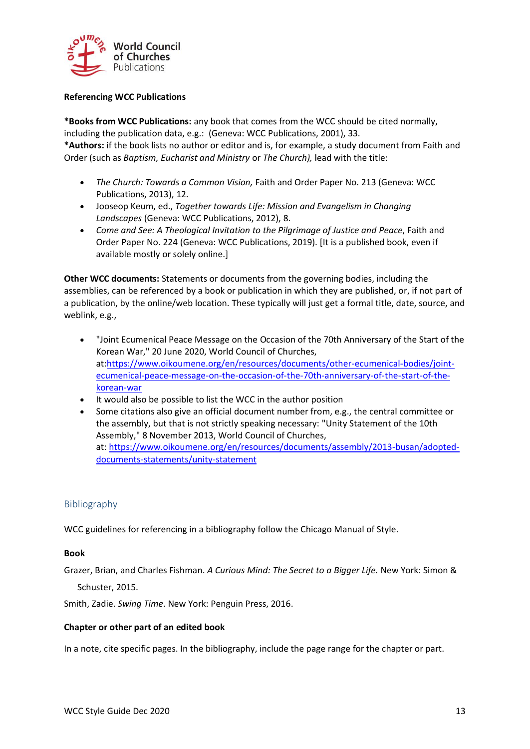

#### **Referencing WCC Publications**

**\*Books from WCC Publications:** any book that comes from the WCC should be cited normally, including the publication data, e.g.: (Geneva: WCC Publications, 2001), 33.

**\*Authors:** if the book lists no author or editor and is, for example, a study document from Faith and Order (such as *Baptism, Eucharist and Ministry* or *The Church),* lead with the title:

- *The Church: Towards a Common Vision,* Faith and Order Paper No. 213 (Geneva: WCC Publications, 2013), 12.
- Jooseop Keum, ed., *Together towards Life: Mission and Evangelism in Changing Landscapes* (Geneva: WCC Publications, 2012), 8.
- *Come and See: A Theological Invitation to the Pilgrimage of Justice and Peace*, Faith and Order Paper No. 224 (Geneva: WCC Publications, 2019). [It is a published book, even if available mostly or solely online.]

**Other WCC documents:** Statements or documents from the governing bodies, including the assemblies, can be referenced by a book or publication in which they are published, or, if not part of a publication, by the online/web location. These typically will just get a formal title, date, source, and weblink, e.g.,

- "Joint Ecumenical Peace Message on the Occasion of the 70th Anniversary of the Start of the Korean War," 20 June 2020, World Council of Churches, at:https://www.oikoumene.org/en/resources/documents/other-ecumenical-bodies/jointecumenical-peace-message-on-the-occasion-of-the-70th-anniversary-of-the-start-of-thekorean-war
- It would also be possible to list the WCC in the author position
- Some citations also give an official document number from, e.g., the central committee or the assembly, but that is not strictly speaking necessary: "Unity Statement of the 10th Assembly," 8 November 2013, World Council of Churches, at: [https://www.oikoumene.org/en/resources/documents/assembly/2013-busan/adopted](https://www.oikoumene.org/en/resources/documents/assembly/2013-busan/adopted-documents-statements/unity-statement)[documents-statements/unity-statement](https://www.oikoumene.org/en/resources/documents/assembly/2013-busan/adopted-documents-statements/unity-statement)

# <span id="page-12-0"></span>Bibliography

WCC guidelines for referencing in a bibliography follow the Chicago Manual of Style.

#### **Book**

Grazer, Brian, and Charles Fishman. *A Curious Mind: The Secret to a Bigger Life.* New York: Simon & Schuster, 2015.

Smith, Zadie. *Swing Time*. New York: Penguin Press, 2016.

#### **Chapter or other part of an edited book**

In a note, cite specific pages. In the bibliography, include the page range for the chapter or part.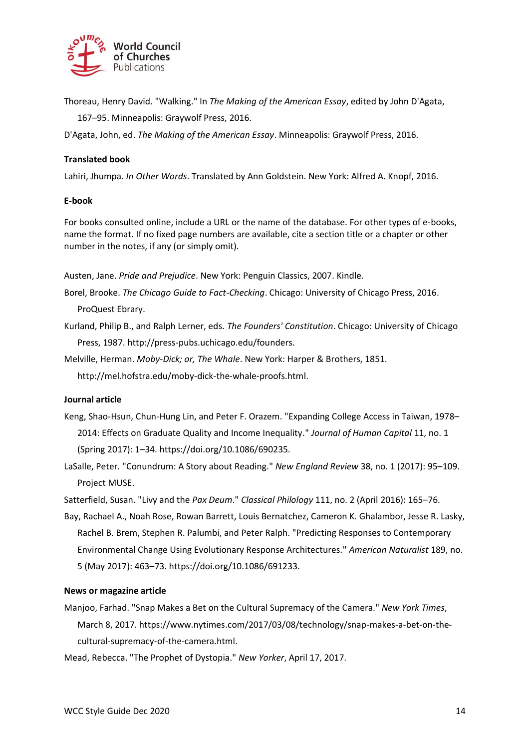

Thoreau, Henry David. "Walking." In *The Making of the American Essay*, edited by John D'Agata,

167–95. Minneapolis: Graywolf Press, 2016.

D'Agata, John, ed. *The Making of the American Essay*. Minneapolis: Graywolf Press, 2016.

#### **Translated book**

Lahiri, Jhumpa. *In Other Words*. Translated by Ann Goldstein. New York: Alfred A. Knopf, 2016.

#### **E-book**

For books consulted online, include a URL or the name of the database. For other types of e-books, name the format. If no fixed page numbers are available, cite a section title or a chapter or other number in the notes, if any (or simply omit).

Austen, Jane. *Pride and Prejudice*. New York: Penguin Classics, 2007. Kindle.

Borel, Brooke. *The Chicago Guide to Fact-Checking*. Chicago: University of Chicago Press, 2016.

ProQuest Ebrary.

- Kurland, Philip B., and Ralph Lerner, eds. *The Founders' Constitution*. Chicago: University of Chicago Press, 1987. http://press-pubs.uchicago.edu/founders.
- Melville, Herman. *Moby-Dick; or, The Whale*. New York: Harper & Brothers, 1851.

http://mel.hofstra.edu/moby-dick-the-whale-proofs.html.

#### **Journal article**

- Keng, Shao-Hsun, Chun-Hung Lin, and Peter F. Orazem. "Expanding College Access in Taiwan, 1978– 2014: Effects on Graduate Quality and Income Inequality." *Journal of Human Capital* 11, no. 1 (Spring 2017): 1–34. https://doi.org/10.1086/690235.
- LaSalle, Peter. "Conundrum: A Story about Reading." *New England Review* 38, no. 1 (2017): 95–109. Project MUSE.

Satterfield, Susan. "Livy and the *Pax Deum*." *Classical Philology* 111, no. 2 (April 2016): 165–76.

Bay, Rachael A., Noah Rose, Rowan Barrett, Louis Bernatchez, Cameron K. Ghalambor, Jesse R. Lasky, Rachel B. Brem, Stephen R. Palumbi, and Peter Ralph. "Predicting Responses to Contemporary Environmental Change Using Evolutionary Response Architectures." *American Naturalist* 189, no. 5 (May 2017): 463–73. https://doi.org/10.1086/691233.

#### **News or magazine article**

Manjoo, Farhad. "Snap Makes a Bet on the Cultural Supremacy of the Camera." *New York Times*, March 8, 2017. https://www.nytimes.com/2017/03/08/technology/snap-makes-a-bet-on-thecultural-supremacy-of-the-camera.html.

Mead, Rebecca. "The Prophet of Dystopia." *New Yorker*, April 17, 2017.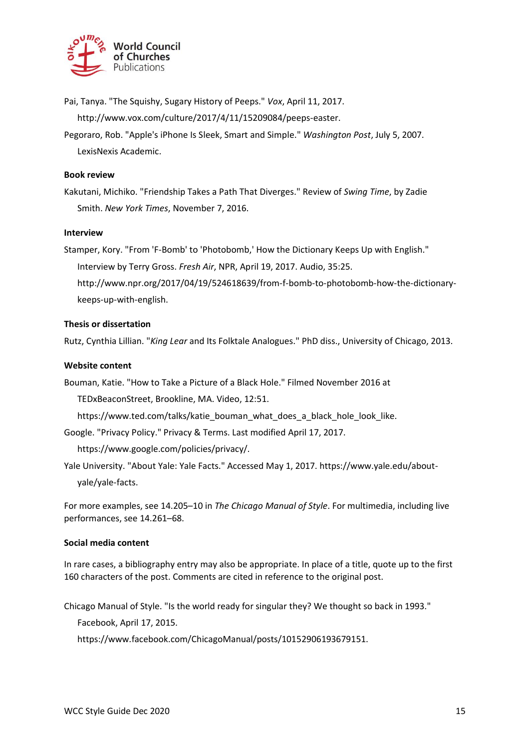

Pai, Tanya. "The Squishy, Sugary History of Peeps." *Vox*, April 11, 2017. http://www.vox.com/culture/2017/4/11/15209084/peeps-easter.

Pegoraro, Rob. "Apple's iPhone Is Sleek, Smart and Simple." *Washington Post*, July 5, 2007. LexisNexis Academic.

#### **Book review**

Kakutani, Michiko. "Friendship Takes a Path That Diverges." Review of *Swing Time*, by Zadie Smith. *New York Times*, November 7, 2016.

#### **Interview**

Stamper, Kory. "From 'F-Bomb' to 'Photobomb,' How the Dictionary Keeps Up with English." Interview by Terry Gross. *Fresh Air*, NPR, April 19, 2017. Audio, 35:25. http://www.npr.org/2017/04/19/524618639/from-f-bomb-to-photobomb-how-the-dictionarykeeps-up-with-english.

#### **Thesis or dissertation**

Rutz, Cynthia Lillian. "*King Lear* and Its Folktale Analogues." PhD diss., University of Chicago, 2013.

#### **Website content**

Bouman, Katie. "How to Take a Picture of a Black Hole." Filmed November 2016 at

TEDxBeaconStreet, Brookline, MA. Video, 12:51.

https://www.ted.com/talks/katie\_bouman\_what\_does\_a\_black\_hole\_look\_like.

Google. "Privacy Policy." Privacy & Terms. Last modified April 17, 2017.

https://www.google.com/policies/privacy/.

Yale University. "About Yale: Yale Facts." Accessed May 1, 2017. https://www.yale.edu/aboutyale/yale-facts.

For more examples, see [14.205](https://www.chicagomanualofstyle.org/book/ed17/part3/ch14/psec205.html)–10 in *The Chicago Manual of Style*. For multimedia, including live performances, see [14.261](https://www.chicagomanualofstyle.org/book/ed17/part3/ch14/psec261.html)–68.

#### **Social media content**

In rare cases, a bibliography entry may also be appropriate. In place of a title, quote up to the first 160 characters of the post. Comments are cited in reference to the original post.

Chicago Manual of Style. "Is the world ready for singular they? We thought so back in 1993."

Facebook, April 17, 2015.

https://www.facebook.com/ChicagoManual/posts/10152906193679151.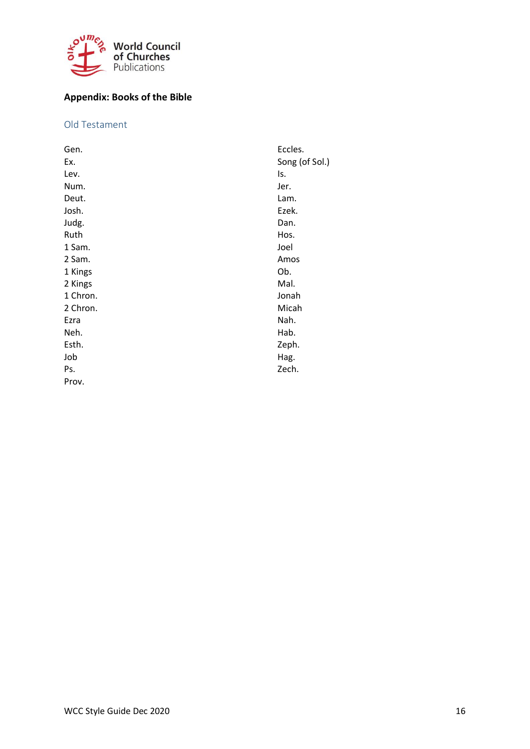

# <span id="page-15-0"></span>**Appendix: Books of the Bible**

# <span id="page-15-1"></span>Old Testament

| Eccles.        |
|----------------|
| Song (of Sol.) |
| Is.            |
| Jer.           |
| Lam.           |
| Ezek.          |
| Dan.           |
| Hos.           |
| Joel           |
| Amos           |
| Ob.            |
| Mal.           |
| Jonah          |
| Micah          |
| Nah.           |
| Hab.           |
| Zeph.          |
| Hag.           |
| Zech.          |
|                |
|                |